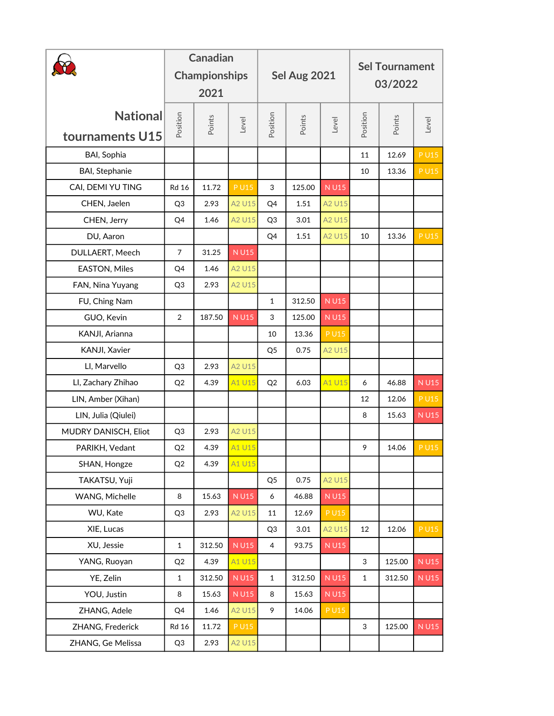|                             | <b>Canadian</b><br><b>Championships</b><br>2021 |        |             |                  | Sel Aug 2021 |             | <b>Sel Tournament</b><br>03/2022 |        |             |
|-----------------------------|-------------------------------------------------|--------|-------------|------------------|--------------|-------------|----------------------------------|--------|-------------|
| National<br>tournaments U15 | Position                                        | Points | Level       | Position         | Points       | Level       | Position                         | Points | Level       |
| BAI, Sophia                 |                                                 |        |             |                  |              |             | 11                               | 12.69  | <b>PU15</b> |
| <b>BAI, Stephanie</b>       |                                                 |        |             |                  |              |             | 10                               | 13.36  | <b>PU15</b> |
| CAI, DEMI YU TING           | <b>Rd 16</b>                                    | 11.72  | <b>PU15</b> | 3                | 125.00       | <b>NU15</b> |                                  |        |             |
| CHEN, Jaelen                | Q <sub>3</sub>                                  | 2.93   | A2 U15      | Q4               | 1.51         | A2 U15      |                                  |        |             |
| CHEN, Jerry                 | Q4                                              | 1.46   | A2 U15      | Q <sub>3</sub>   | 3.01         | A2 U15      |                                  |        |             |
| DU, Aaron                   |                                                 |        |             | Q4               | 1.51         | A2 U15      | 10                               | 13.36  | <b>PU15</b> |
| DULLAERT, Meech             | $\overline{7}$                                  | 31.25  | <b>NU15</b> |                  |              |             |                                  |        |             |
| <b>EASTON, Miles</b>        | Q4                                              | 1.46   | A2 U15      |                  |              |             |                                  |        |             |
| FAN, Nina Yuyang            | Q <sub>3</sub>                                  | 2.93   | A2 U15      |                  |              |             |                                  |        |             |
| FU, Ching Nam               |                                                 |        |             | $\mathbf{1}$     | 312.50       | <b>NU15</b> |                                  |        |             |
| GUO, Kevin                  | $\overline{2}$                                  | 187.50 | <b>NU15</b> | 3                | 125.00       | <b>NU15</b> |                                  |        |             |
| KANJI, Arianna              |                                                 |        |             | 10               | 13.36        | <b>PU15</b> |                                  |        |             |
| KANJI, Xavier               |                                                 |        |             | Q <sub>5</sub>   | 0.75         | A2 U15      |                                  |        |             |
| LI, Marvello                | Q <sub>3</sub>                                  | 2.93   | A2 U15      |                  |              |             |                                  |        |             |
| LI, Zachary Zhihao          | Q2                                              | 4.39   | A1 U15      | Q2               | 6.03         | A1 U15      | 6                                | 46.88  | <b>NU15</b> |
| LIN, Amber (Xihan)          |                                                 |        |             |                  |              |             | 12                               | 12.06  | <b>PU15</b> |
| LIN, Julia (Qiulei)         |                                                 |        |             |                  |              |             | 8                                | 15.63  | <b>NU15</b> |
| MUDRY DANISCH, Eliot        | Q <sub>3</sub>                                  | 2.93   | A2 U15      |                  |              |             |                                  |        |             |
| PARIKH, Vedant              | Q2                                              | 4.39   | A1 U15      |                  |              |             | 9                                | 14.06  | <b>PU15</b> |
| SHAN, Hongze                | Q2                                              | 4.39   | A1 U15      |                  |              |             |                                  |        |             |
| TAKATSU, Yuji               |                                                 |        |             | Q <sub>5</sub>   | 0.75         | A2 U15      |                                  |        |             |
| WANG, Michelle              | 8                                               | 15.63  | <b>NU15</b> | $\boldsymbol{6}$ | 46.88        | <b>NU15</b> |                                  |        |             |
| WU, Kate                    | Q <sub>3</sub>                                  | 2.93   | A2 U15      | 11               | 12.69        | <b>PU15</b> |                                  |        |             |
| XIE, Lucas                  |                                                 |        |             | Q <sub>3</sub>   | 3.01         | A2 U15      | 12                               | 12.06  | $P$ U15     |
| XU, Jessie                  | $\mathbf 1$                                     | 312.50 | <b>NU15</b> | $\overline{4}$   | 93.75        | <b>NU15</b> |                                  |        |             |
| YANG, Ruoyan                | Q2                                              | 4.39   | A1 U15      |                  |              |             | 3                                | 125.00 | <b>NU15</b> |
| YE, Zelin                   | $\mathbf 1$                                     | 312.50 | <b>NU15</b> | $\mathbf{1}$     | 312.50       | <b>NU15</b> | $\mathbf 1$                      | 312.50 | <b>NU15</b> |
| YOU, Justin                 | 8                                               | 15.63  | <b>NU15</b> | 8                | 15.63        | <b>NU15</b> |                                  |        |             |
| ZHANG, Adele                | Q4                                              | 1.46   | A2 U15      | 9                | 14.06        | <b>PU15</b> |                                  |        |             |
| ZHANG, Frederick            | <b>Rd 16</b>                                    | 11.72  | <b>PU15</b> |                  |              |             | $\mathbf{3}$                     | 125.00 | <b>NU15</b> |
| ZHANG, Ge Melissa           | Q <sub>3</sub>                                  | 2.93   | A2 U15      |                  |              |             |                                  |        |             |